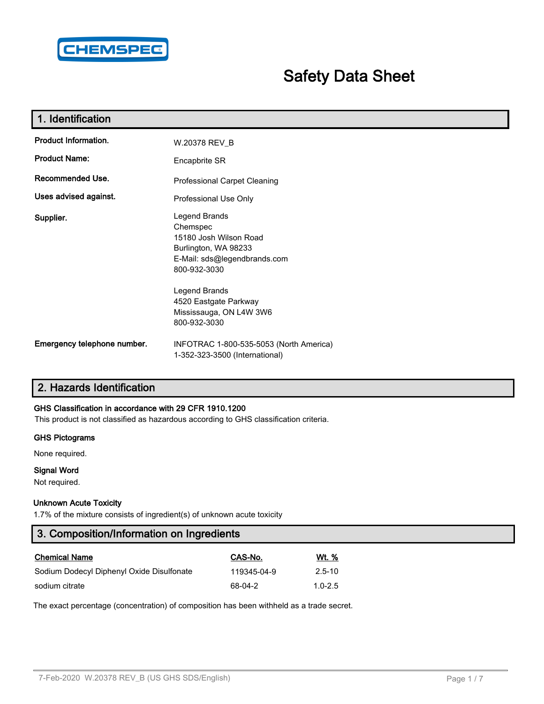

# **Safety Data Sheet**

| 1. Identification           |                                                                                                                                                                       |
|-----------------------------|-----------------------------------------------------------------------------------------------------------------------------------------------------------------------|
| Product Information.        | W.20378 REV_B                                                                                                                                                         |
| <b>Product Name:</b>        | Encapbrite SR                                                                                                                                                         |
| Recommended Use.            | Professional Carpet Cleaning                                                                                                                                          |
| Uses advised against.       | Professional Use Only                                                                                                                                                 |
| Supplier.                   | Legend Brands<br>Chemspec<br>15180 Josh Wilson Road<br>Burlington, WA 98233<br>E-Mail: sds@legendbrands.com<br>800-932-3030<br>Legend Brands<br>4520 Eastgate Parkway |
|                             | Mississauga, ON L4W 3W6<br>800-932-3030                                                                                                                               |
| Emergency telephone number. | INFOTRAC 1-800-535-5053 (North America)<br>1-352-323-3500 (International)                                                                                             |

## **2. Hazards Identification**

### **GHS Classification in accordance with 29 CFR 1910.1200**

This product is not classified as hazardous according to GHS classification criteria.

#### **GHS Pictograms**

None required.

## **Signal Word**

Not required.

#### **Unknown Acute Toxicity**

1.7% of the mixture consists of ingredient(s) of unknown acute toxicity

| 3. Composition/Information on Ingredients |             |              |  |  |
|-------------------------------------------|-------------|--------------|--|--|
| <b>Chemical Name</b>                      | CAS-No.     | <u>Wt. %</u> |  |  |
| Sodium Dodecyl Diphenyl Oxide Disulfonate | 119345-04-9 | $2.5 - 10$   |  |  |
| sodium citrate                            | 68-04-2     | $1.0 - 2.5$  |  |  |

The exact percentage (concentration) of composition has been withheld as a trade secret.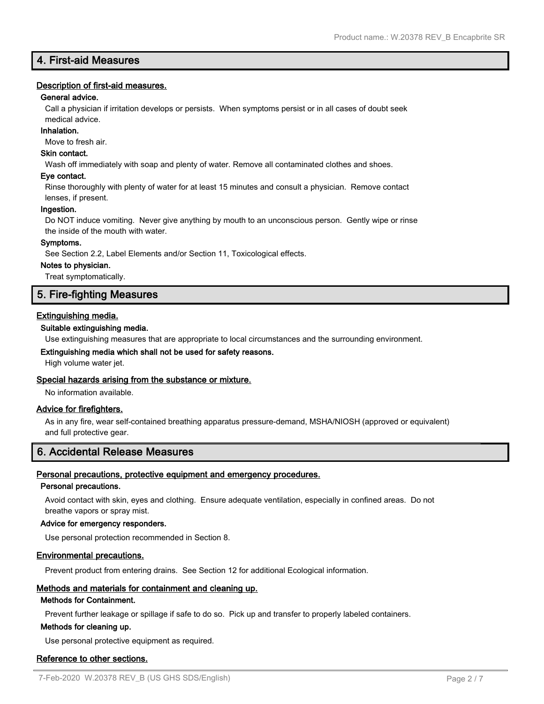## **4. First-aid Measures**

#### **Description of first-aid measures.**

#### **General advice.**

Call a physician if irritation develops or persists. When symptoms persist or in all cases of doubt seek medical advice.

#### **Inhalation.**

Move to fresh air.

#### **Skin contact.**

Wash off immediately with soap and plenty of water. Remove all contaminated clothes and shoes.

#### **Eye contact.**

Rinse thoroughly with plenty of water for at least 15 minutes and consult a physician. Remove contact lenses, if present.

#### **Ingestion.**

Do NOT induce vomiting. Never give anything by mouth to an unconscious person. Gently wipe or rinse the inside of the mouth with water.

#### **Symptoms.**

See Section 2.2, Label Elements and/or Section 11, Toxicological effects.

#### **Notes to physician.**

Treat symptomatically.

## **5. Fire-fighting Measures**

#### **Extinguishing media.**

#### **Suitable extinguishing media.**

Use extinguishing measures that are appropriate to local circumstances and the surrounding environment.

#### **Extinguishing media which shall not be used for safety reasons.**

High volume water jet.

#### **Special hazards arising from the substance or mixture.**

No information available.

#### **Advice for firefighters.**

As in any fire, wear self-contained breathing apparatus pressure-demand, MSHA/NIOSH (approved or equivalent) and full protective gear.

## **6. Accidental Release Measures**

#### **Personal precautions, protective equipment and emergency procedures.**

#### **Personal precautions.**

Avoid contact with skin, eyes and clothing. Ensure adequate ventilation, especially in confined areas. Do not breathe vapors or spray mist.

#### **Advice for emergency responders.**

Use personal protection recommended in Section 8.

#### **Environmental precautions.**

Prevent product from entering drains. See Section 12 for additional Ecological information.

#### **Methods and materials for containment and cleaning up.**

#### **Methods for Containment.**

Prevent further leakage or spillage if safe to do so. Pick up and transfer to properly labeled containers.

#### **Methods for cleaning up.**

Use personal protective equipment as required.

#### **Reference to other sections.**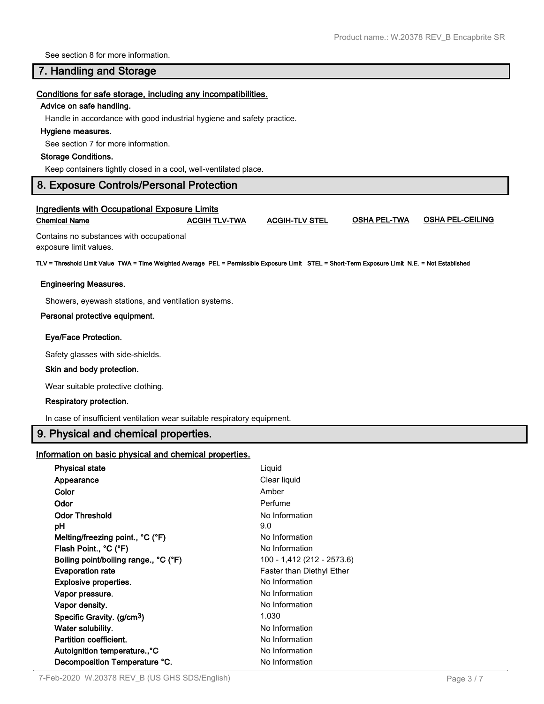See section 8 for more information.

## **7. Handling and Storage**

#### **Conditions for safe storage, including any incompatibilities.**

#### **Advice on safe handling.**

Handle in accordance with good industrial hygiene and safety practice.

#### **Hygiene measures.**

See section 7 for more information.

#### **Storage Conditions.**

Keep containers tightly closed in a cool, well-ventilated place.

## **8. Exposure Controls/Personal Protection**

### **Ingredients with Occupational Exposure Limits Chemical Name ACGIH TLV-TWA ACGIH-TLV STEL OSHA PEL-TWA OSHA PEL-CEILING**

Contains no substances with occupational exposure limit values.

**TLV = Threshold Limit Value TWA = Time Weighted Average PEL = Permissible Exposure Limit STEL = Short-Term Exposure Limit N.E. = Not Established**

#### **Engineering Measures.**

Showers, eyewash stations, and ventilation systems.

#### **Personal protective equipment.**

#### **Eye/Face Protection.**

Safety glasses with side-shields.

#### **Skin and body protection.**

Wear suitable protective clothing.

#### **Respiratory protection.**

In case of insufficient ventilation wear suitable respiratory equipment.

## **9. Physical and chemical properties.**

## **Information on basic physical and chemical properties.**

| <b>Physical state</b>                  | Liquid                           |
|----------------------------------------|----------------------------------|
| Appearance                             | Clear liquid                     |
| Color                                  | Amber                            |
| Odor                                   | Perfume                          |
| <b>Odor Threshold</b>                  | No Information                   |
| рH                                     | 9.0                              |
| Melting/freezing point., °C (°F)       | No Information                   |
| Flash Point., °C (°F)                  | No Information                   |
| Boiling point/boiling range., °C (°F)  | 100 - 1,412 (212 - 2573.6)       |
| <b>Evaporation rate</b>                | <b>Faster than Diethyl Ether</b> |
| <b>Explosive properties.</b>           | No Information                   |
| Vapor pressure.                        | No Information                   |
| Vapor density.                         | No Information                   |
| Specific Gravity. (g/cm <sup>3</sup> ) | 1.030                            |
| Water solubility.                      | No Information                   |
| <b>Partition coefficient.</b>          | No Information                   |
| Autoignition temperature°C             | No Information                   |
| Decomposition Temperature °C.          | No Information                   |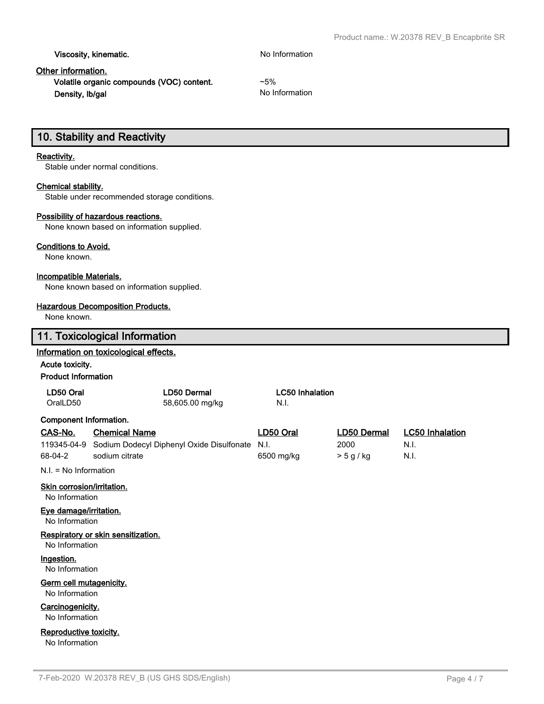**Viscosity, kinematic.** No Information

## **Other information.**

**Volatile organic compounds (VOC) content.** ~5% **Density, Ib/gal** No Information

## **10. Stability and Reactivity**

## **Reactivity.**

Stable under normal conditions.

## **Chemical stability.**

Stable under recommended storage conditions.

#### **Possibility of hazardous reactions.**

None known based on information supplied.

#### **Conditions to Avoid.**

None known.

## **Incompatible Materials.**

None known based on information supplied.

## **Hazardous Decomposition Products.**

None known.

|                                              | 11. Toxicological Information                         |                        |             |                        |  |  |  |  |
|----------------------------------------------|-------------------------------------------------------|------------------------|-------------|------------------------|--|--|--|--|
|                                              | Information on toxicological effects.                 |                        |             |                        |  |  |  |  |
|                                              | Acute toxicity.                                       |                        |             |                        |  |  |  |  |
|                                              | <b>Product Information</b>                            |                        |             |                        |  |  |  |  |
| LD50 Oral                                    | <b>LD50 Dermal</b>                                    | <b>LC50 Inhalation</b> |             |                        |  |  |  |  |
| OralLD50                                     | 58,605.00 mg/kg                                       | N.I.                   |             |                        |  |  |  |  |
| <b>Component Information.</b>                |                                                       |                        |             |                        |  |  |  |  |
| CAS-No.                                      | <b>Chemical Name</b>                                  | LD50 Oral              | LD50 Dermal | <b>LC50 Inhalation</b> |  |  |  |  |
|                                              | 119345-04-9 Sodium Dodecyl Diphenyl Oxide Disulfonate | N.I.                   | 2000        | N.I.                   |  |  |  |  |
| 68-04-2                                      | sodium citrate                                        | 6500 mg/kg             | > 5 g/kg    | N.I.                   |  |  |  |  |
| $N.I. = No Information$                      |                                                       |                        |             |                        |  |  |  |  |
| Skin corrosion/irritation.<br>No Information |                                                       |                        |             |                        |  |  |  |  |
| Eye damage/irritation.<br>No Information     |                                                       |                        |             |                        |  |  |  |  |
| No Information                               | Respiratory or skin sensitization.                    |                        |             |                        |  |  |  |  |
| Ingestion.<br>No Information                 |                                                       |                        |             |                        |  |  |  |  |
| Germ cell mutagenicity.<br>No Information    |                                                       |                        |             |                        |  |  |  |  |
| Carcinogenicity.<br>No Information           |                                                       |                        |             |                        |  |  |  |  |
| Reproductive toxicity.<br>No Information     |                                                       |                        |             |                        |  |  |  |  |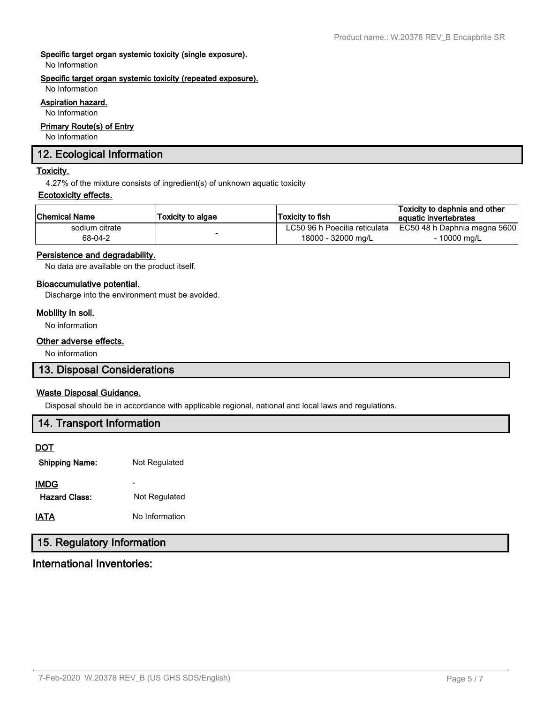## **Specific target organ systemic toxicity (single exposure).**

No Information

#### **Specific target organ systemic toxicity (repeated exposure).**

No Information

## **Aspiration hazard.**

No Information

#### **Primary Route(s) of Entry**

No Information

## **12. Ecological Information**

#### **Toxicity.**

4.27% of the mixture consists of ingredient(s) of unknown aquatic toxicity

## **Ecotoxicity effects.**

| Chemical Name  | Toxicity to algae | Toxicity to fish              | Toxicity to daphnia and other<br>aquatic invertebrates |
|----------------|-------------------|-------------------------------|--------------------------------------------------------|
| sodium citrate |                   | LC50 96 h Poecilia reticulata | EC50 48 h Daphnia magna 5600                           |
| 68-04-2        |                   | 18000 - 32000 mg/L            | - 10000 mg/L                                           |

## **Persistence and degradability.**

No data are available on the product itself.

## **Bioaccumulative potential.**

Discharge into the environment must be avoided.

#### **Mobility in soil.**

No information

#### **Other adverse effects.**

No information

## **13. Disposal Considerations**

#### **Waste Disposal Guidance.**

Disposal should be in accordance with applicable regional, national and local laws and regulations.

## **14. Transport Information DOT Shipping Name:** Not Regulated

| <b>SHIPPING INSING.</b> | <u>ivul Regulated</u> |
|-------------------------|-----------------------|
| <b>IMDG</b>             |                       |
| <b>Hazard Class:</b>    | Not Regulated         |
| <b>IATA</b>             | No Information        |

## **15. Regulatory Information**

## **International Inventories:**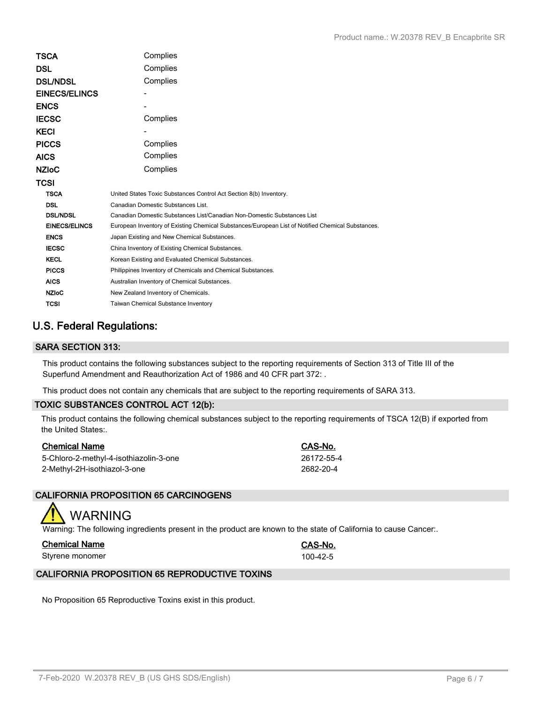| TSCA                 | Complies                                                                                          |
|----------------------|---------------------------------------------------------------------------------------------------|
| DSL                  | Complies                                                                                          |
| <b>DSL/NDSL</b>      | Complies                                                                                          |
| <b>EINECS/ELINCS</b> |                                                                                                   |
| <b>ENCS</b>          |                                                                                                   |
| <b>IECSC</b>         | Complies                                                                                          |
| KECI                 |                                                                                                   |
| <b>PICCS</b>         | Complies                                                                                          |
| <b>AICS</b>          | Complies                                                                                          |
| <b>NZIoC</b>         | Complies                                                                                          |
| TCSI                 |                                                                                                   |
| <b>TSCA</b>          | United States Toxic Substances Control Act Section 8(b) Inventory.                                |
| <b>DSL</b>           | Canadian Domestic Substances List.                                                                |
| <b>DSL/NDSL</b>      | Canadian Domestic Substances List/Canadian Non-Domestic Substances List                           |
| <b>EINECS/ELINCS</b> | European Inventory of Existing Chemical Substances/European List of Notified Chemical Substances. |
| <b>ENCS</b>          | Japan Existing and New Chemical Substances.                                                       |
| <b>IECSC</b>         | China Inventory of Existing Chemical Substances.                                                  |
| <b>KECL</b>          | Korean Existing and Evaluated Chemical Substances.                                                |
| <b>PICCS</b>         | Philippines Inventory of Chemicals and Chemical Substances.                                       |
| <b>AICS</b>          | Australian Inventory of Chemical Substances.                                                      |
| <b>NZIoC</b>         | New Zealand Inventory of Chemicals.                                                               |
| <b>TCSI</b>          | Taiwan Chemical Substance Inventory                                                               |

## **U.S. Federal Regulations:**

## **SARA SECTION 313:**

This product contains the following substances subject to the reporting requirements of Section 313 of Title III of the Superfund Amendment and Reauthorization Act of 1986 and 40 CFR part 372: .

This product does not contain any chemicals that are subject to the reporting requirements of SARA 313.

## **TOXIC SUBSTANCES CONTROL ACT 12(b):**

This product contains the following chemical substances subject to the reporting requirements of TSCA 12(B) if exported from the United States:.

| <b>Chemical Name</b>                   | CAS-No.    |
|----------------------------------------|------------|
| 5-Chloro-2-methyl-4-isothiazolin-3-one | 26172-55-4 |
| 2-Methyl-2H-isothiazol-3-one           | 2682-20-4  |

## **CALIFORNIA PROPOSITION 65 CARCINOGENS**

# WARNING

Warning: The following ingredients present in the product are known to the state of California to cause Cancer:.

| Chemical Name   | CAS-No.  |
|-----------------|----------|
| Styrene monomer | 100-42-5 |

## **CALIFORNIA PROPOSITION 65 REPRODUCTIVE TOXINS**

No Proposition 65 Reproductive Toxins exist in this product.